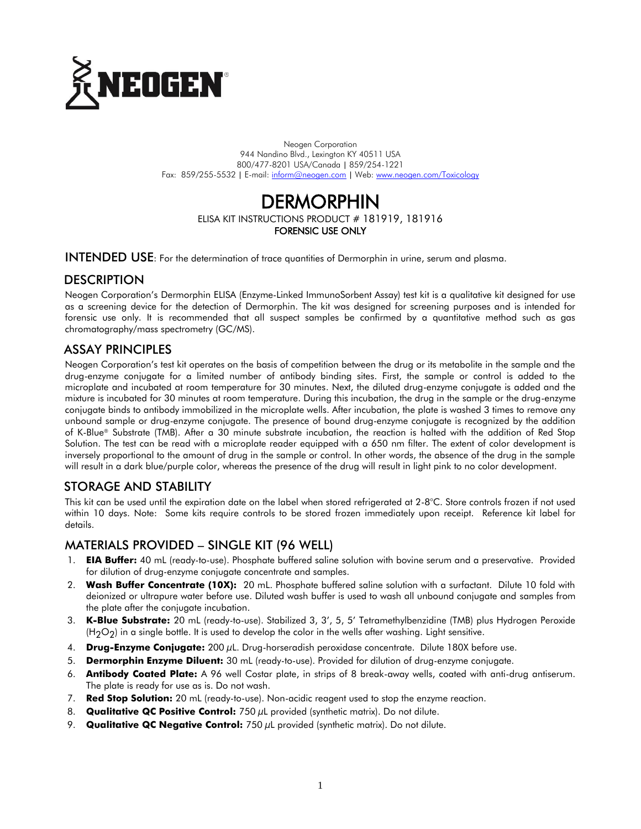

Neogen Corporation 944 Nandino Blvd., Lexington KY 40511 USA 800/477-8201 USA/Canada | 859/254-1221 Fax: 859/255-5532 | E-mail[: inform@neogen.com](mailto:inform@neogen.com) | Web[: www.neogen.com/Toxicology](http://www.neogen.com/Toxicology)

# **DERMORPHIN**

ELISA KIT INSTRUCTIONS PRODUCT # 181919, 181916 FORENSIC USE ONLY

INTENDED USE: For the determination of trace quantities of Dermorphin in urine, serum and plasma.

# **DESCRIPTION**

Neogen Corporation's Dermorphin ELISA (Enzyme-Linked ImmunoSorbent Assay) test kit is a qualitative kit designed for use as a screening device for the detection of Dermorphin. The kit was designed for screening purposes and is intended for forensic use only. It is recommended that all suspect samples be confirmed by a quantitative method such as gas chromatography/mass spectrometry (GC/MS).

# ASSAY PRINCIPLES

Neogen Corporation's test kit operates on the basis of competition between the drug or its metabolite in the sample and the drug-enzyme conjugate for a limited number of antibody binding sites. First, the sample or control is added to the microplate and incubated at room temperature for 30 minutes. Next, the diluted drug-enzyme conjugate is added and the mixture is incubated for 30 minutes at room temperature. During this incubation, the drug in the sample or the drug-enzyme conjugate binds to antibody immobilized in the microplate wells. After incubation, the plate is washed 3 times to remove any unbound sample or drug-enzyme conjugate. The presence of bound drug-enzyme conjugate is recognized by the addition of K-Blue® Substrate (TMB). After a 30 minute substrate incubation, the reaction is halted with the addition of Red Stop Solution. The test can be read with a microplate reader equipped with a 650 nm filter. The extent of color development is inversely proportional to the amount of drug in the sample or control. In other words, the absence of the drug in the sample will result in a dark blue/purple color, whereas the presence of the drug will result in light pink to no color development.

# STORAGE AND STABILITY

This kit can be used until the expiration date on the label when stored refrigerated at 2-8°C. Store controls frozen if not used within 10 days. Note: Some kits require controls to be stored frozen immediately upon receipt. Reference kit label for details.

# MATERIALS PROVIDED – SINGLE KIT (96 WELL)

- 1. **EIA Buffer:** 40 mL (ready-to-use). Phosphate buffered saline solution with bovine serum and a preservative. Provided for dilution of drug-enzyme conjugate concentrate and samples.
- 2. **Wash Buffer Concentrate (10X):** 20 mL. Phosphate buffered saline solution with a surfactant. Dilute 10 fold with deionized or ultrapure water before use. Diluted wash buffer is used to wash all unbound conjugate and samples from the plate after the conjugate incubation.
- 3. **K-Blue Substrate:** 20 mL (ready-to-use). Stabilized 3, 3', 5, 5' Tetramethylbenzidine (TMB) plus Hydrogen Peroxide  $(H_2O_2)$  in a single bottle. It is used to develop the color in the wells after washing. Light sensitive.
- 4. **Drug-Enzyme Conjugate:** 200 µL. Drug-horseradish peroxidase concentrate. Dilute 180X before use.
- 5. **Dermorphin Enzyme Diluent:** 30 mL (ready-to-use). Provided for dilution of drug-enzyme conjugate.
- 6. **Antibody Coated Plate:** A 96 well Costar plate, in strips of 8 break-away wells, coated with anti-drug antiserum. The plate is ready for use as is. Do not wash.
- 7. **Red Stop Solution:** 20 mL (ready-to-use). Non-acidic reagent used to stop the enzyme reaction.
- 8. **Qualitative QC Positive Control:** 750 µL provided (synthetic matrix). Do not dilute.
- 9. **Qualitative QC Negative Control:** 750 µL provided (synthetic matrix). Do not dilute.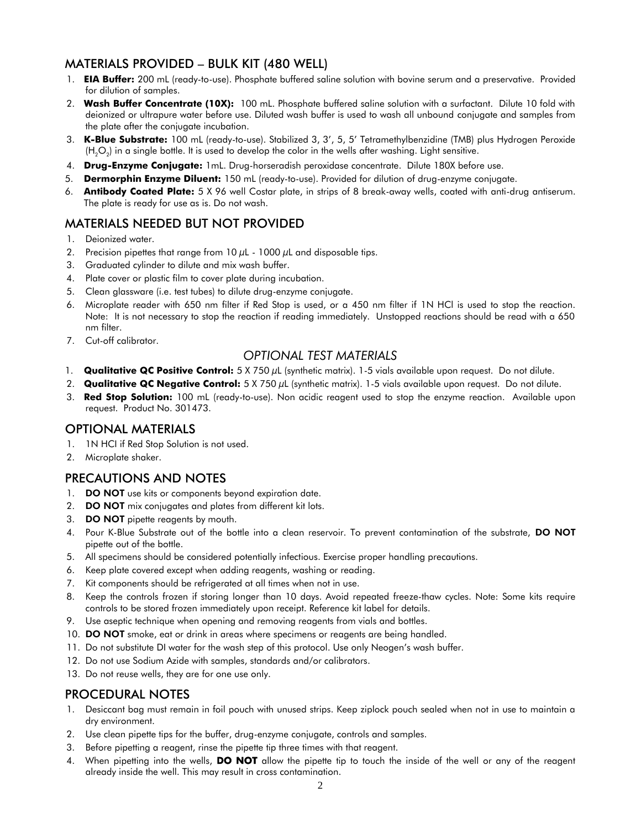# MATERIALS PROVIDED – BULK KIT (480 WELL)

- 1. **EIA Buffer:** 200 mL (ready-to-use). Phosphate buffered saline solution with bovine serum and a preservative. Provided for dilution of samples.
- 2. **Wash Buffer Concentrate (10X):** 100 mL. Phosphate buffered saline solution with a surfactant. Dilute 10 fold with deionized or ultrapure water before use. Diluted wash buffer is used to wash all unbound conjugate and samples from the plate after the conjugate incubation.
- 3. **K-Blue Substrate:** 100 mL (ready-to-use). Stabilized 3, 3', 5, 5' Tetramethylbenzidine (TMB) plus Hydrogen Peroxide (H $_{2}$ O $_{2}$ ) in a single bottle. It is used to develop the color in the wells after washing. Light sensitive.
- 4. **Drug-Enzyme Conjugate:** 1mL. Drug-horseradish peroxidase concentrate. Dilute 180X before use.
- 5. **Dermorphin Enzyme Diluent:** 150 mL (ready-to-use). Provided for dilution of drug-enzyme conjugate.
- 6. **Antibody Coated Plate:** 5 X 96 well Costar plate, in strips of 8 break-away wells, coated with anti-drug antiserum. The plate is ready for use as is. Do not wash.

# MATERIALS NEEDED BUT NOT PROVIDED

- 1. Deionized water.
- 2. Precision pipettes that range from  $10 \mu$ L  $1000 \mu$ L and disposable tips.
- 3. Graduated cylinder to dilute and mix wash buffer.
- 4. Plate cover or plastic film to cover plate during incubation.
- 5. Clean glassware (i.e. test tubes) to dilute drug-enzyme conjugate.
- 6. Microplate reader with 650 nm filter if Red Stop is used, or a 450 nm filter if 1N HCl is used to stop the reaction. Note: It is not necessary to stop the reaction if reading immediately. Unstopped reactions should be read with a 650 nm filter.
- 7. Cut-off calibrator.

# *OPTIONAL TEST MATERIALS*

- 1. **Qualitative QC Positive Control:** 5 X 750 µL (synthetic matrix). 1-5 vials available upon request. Do not dilute.
- 2. **Qualitative QC Negative Control:** 5 X 750 µL (synthetic matrix). 1-5 vials available upon request. Do not dilute.
- 3. **Red Stop Solution:** 100 mL (ready-to-use). Non acidic reagent used to stop the enzyme reaction. Available upon request. Product No. 301473.

# OPTIONAL MATERIALS

- 1. 1N HCI if Red Stop Solution is not used.
- 2. Microplate shaker.

# PRECAUTIONS AND NOTES

- 1. DO NOT use kits or components beyond expiration date.
- 2. DO NOT mix conjugates and plates from different kit lots.
- 3. DO NOT pipette reagents by mouth.
- 4. Pour K-Blue Substrate out of the bottle into a clean reservoir. To prevent contamination of the substrate, DO NOT pipette out of the bottle.
- 5. All specimens should be considered potentially infectious. Exercise proper handling precautions.
- 6. Keep plate covered except when adding reagents, washing or reading.
- 7. Kit components should be refrigerated at all times when not in use.
- 8. Keep the controls frozen if storing longer than 10 days. Avoid repeated freeze-thaw cycles. Note: Some kits require controls to be stored frozen immediately upon receipt. Reference kit label for details.
- 9. Use aseptic technique when opening and removing reagents from vials and bottles.
- 10. DO NOT smoke, eat or drink in areas where specimens or reagents are being handled.
- 11. Do not substitute DI water for the wash step of this protocol. Use only Neogen's wash buffer.
- 12. Do not use Sodium Azide with samples, standards and/or calibrators.
- 13. Do not reuse wells, they are for one use only.

# PROCEDURAL NOTES

- 1. Desiccant bag must remain in foil pouch with unused strips. Keep ziplock pouch sealed when not in use to maintain a dry environment.
- 2. Use clean pipette tips for the buffer, drug-enzyme conjugate, controls and samples.
- 3. Before pipetting a reagent, rinse the pipette tip three times with that reagent.
- 4. When pipetting into the wells, DO NOT allow the pipette tip to touch the inside of the well or any of the reagent already inside the well. This may result in cross contamination.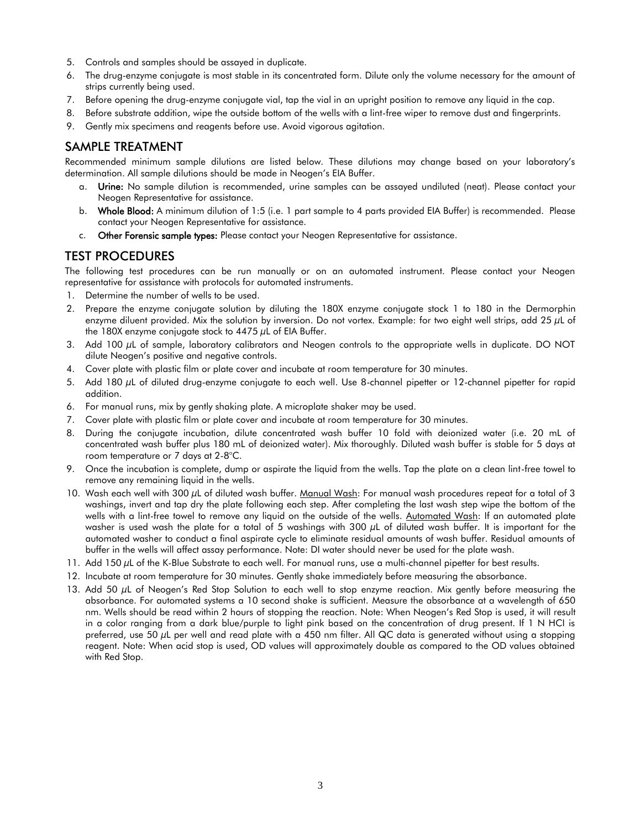- 5. Controls and samples should be assayed in duplicate.
- 6. The drug-enzyme conjugate is most stable in its concentrated form. Dilute only the volume necessary for the amount of strips currently being used.
- 7. Before opening the drug-enzyme conjugate vial, tap the vial in an upright position to remove any liquid in the cap.
- 8. Before substrate addition, wipe the outside bottom of the wells with a lint-free wiper to remove dust and fingerprints.
- 9. Gently mix specimens and reagents before use. Avoid vigorous agitation.

# SAMPLE TREATMENT

Recommended minimum sample dilutions are listed below. These dilutions may change based on your laboratory's determination. All sample dilutions should be made in Neogen's EIA Buffer.

- a. Urine: No sample dilution is recommended, urine samples can be assayed undiluted (neat). Please contact your Neogen Representative for assistance.
- b. Whole Blood: A minimum dilution of 1:5 (i.e. 1 part sample to 4 parts provided EIA Buffer) is recommended. Please contact your Neogen Representative for assistance.
- c. Other Forensic sample types: Please contact your Neogen Representative for assistance.

# TEST PROCEDURES

The following test procedures can be run manually or on an automated instrument. Please contact your Neogen representative for assistance with protocols for automated instruments.

- 1. Determine the number of wells to be used.
- 2. Prepare the enzyme conjugate solution by diluting the 180X enzyme conjugate stock 1 to 180 in the Dermorphin enzyme diluent provided. Mix the solution by inversion. Do not vortex. Example: for two eight well strips, add 25 µL of the 180X enzyme conjugate stock to  $4475 \mu L$  of EIA Buffer.
- 3. Add 100 µL of sample, laboratory calibrators and Neogen controls to the appropriate wells in duplicate. DO NOT dilute Neogen's positive and negative controls.
- 4. Cover plate with plastic film or plate cover and incubate at room temperature for 30 minutes.
- 5. Add 180 µL of diluted drug-enzyme conjugate to each well. Use 8-channel pipetter or 12-channel pipetter for rapid addition.
- 6. For manual runs, mix by gently shaking plate. A microplate shaker may be used.
- 7. Cover plate with plastic film or plate cover and incubate at room temperature for 30 minutes.
- 8. During the conjugate incubation, dilute concentrated wash buffer 10 fold with deionized water (i.e. 20 mL of concentrated wash buffer plus 180 mL of deionized water). Mix thoroughly. Diluted wash buffer is stable for 5 days at room temperature or 7 days at 2-8°C.
- 9. Once the incubation is complete, dump or aspirate the liquid from the wells. Tap the plate on a clean lint-free towel to remove any remaining liquid in the wells.
- 10. Wash each well with 300 µL of diluted wash buffer. Manual Wash: For manual wash procedures repeat for a total of 3 washings, invert and tap dry the plate following each step. After completing the last wash step wipe the bottom of the wells with a lint-free towel to remove any liquid on the outside of the wells. Automated Wash: If an automated plate washer is used wash the plate for a total of 5 washings with 300  $\mu$ L of diluted wash buffer. It is important for the automated washer to conduct a final aspirate cycle to eliminate residual amounts of wash buffer. Residual amounts of buffer in the wells will affect assay performance. Note: DI water should never be used for the plate wash.
- 11. Add 150  $\mu$ L of the K-Blue Substrate to each well. For manual runs, use a multi-channel pipetter for best results.
- 12. Incubate at room temperature for 30 minutes. Gently shake immediately before measuring the absorbance.
- 13. Add 50  $\mu$ L of Neogen's Red Stop Solution to each well to stop enzyme reaction. Mix gently before measuring the absorbance. For automated systems a 10 second shake is sufficient. Measure the absorbance at a wavelength of 650 nm. Wells should be read within 2 hours of stopping the reaction. Note: When Neogen's Red Stop is used, it will result in a color ranging from a dark blue/purple to light pink based on the concentration of drug present. If 1 N HCI is preferred, use 50 µL per well and read plate with a 450 nm filter. All QC data is generated without using a stopping reagent. Note: When acid stop is used, OD values will approximately double as compared to the OD values obtained with Red Stop.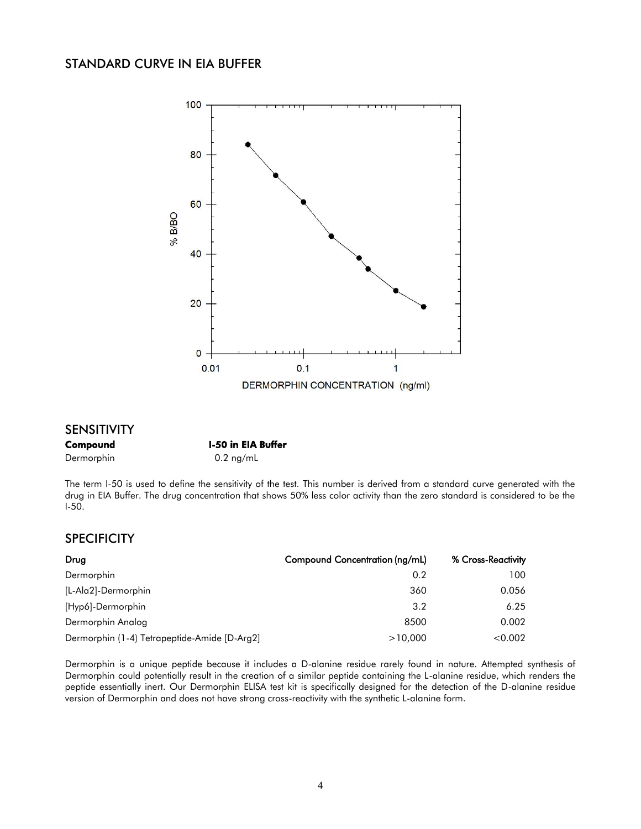# STANDARD CURVE IN EIA BUFFER



#### SENSITIVITY

#### Compound I-50 in EIA Buffer

#### Dermorphin 0.2 ng/mL

The term I-50 is used to define the sensitivity of the test. This number is derived from a standard curve generated with the drug in EIA Buffer. The drug concentration that shows 50% less color activity than the zero standard is considered to be the I-50.

# **SPECIFICITY**

| Drug                                         | Compound Concentration (ng/mL) | % Cross-Reactivity |
|----------------------------------------------|--------------------------------|--------------------|
| Dermorphin                                   | 0.2                            | 100                |
| [L-Ala2]-Dermorphin                          | 360                            | 0.056              |
| [Hypó]-Dermorphin                            | 3.2                            | 6.25               |
| Dermorphin Analog                            | 8500                           | 0.002              |
| Dermorphin (1-4) Tetrapeptide-Amide [D-Arg2] | >10,000                        | < 0.002            |

Dermorphin is a unique peptide because it includes a D-alanine residue rarely found in nature. Attempted synthesis of Dermorphin could potentially result in the creation of a similar peptide containing the L-alanine residue, which renders the peptide essentially inert. Our Dermorphin ELISA test kit is specifically designed for the detection of the D-alanine residue version of Dermorphin and does not have strong cross-reactivity with the synthetic L-alanine form.